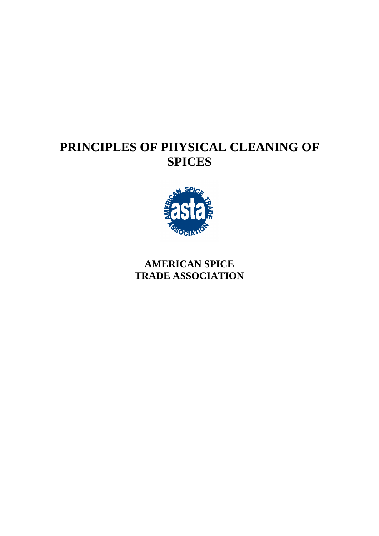# **PRINCIPLES OF PHYSICAL CLEANING OF SPICES**



## **AMERICAN SPICE TRADE ASSOCIATION**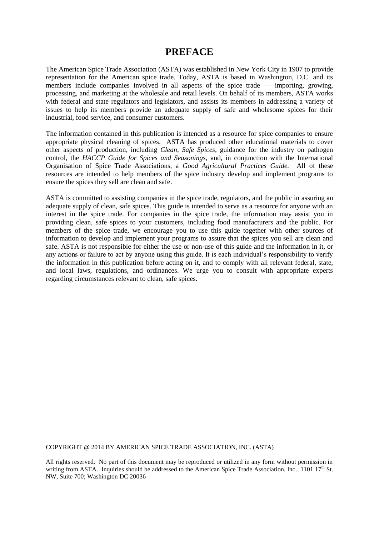## **PREFACE**

The American Spice Trade Association (ASTA) was established in New York City in 1907 to provide representation for the American spice trade. Today, ASTA is based in Washington, D.C. and its members include companies involved in all aspects of the spice trade — importing, growing, processing, and marketing at the wholesale and retail levels. On behalf of its members, ASTA works with federal and state regulators and legislators, and assists its members in addressing a variety of issues to help its members provide an adequate supply of safe and wholesome spices for their industrial, food service, and consumer customers.

The information contained in this publication is intended as a resource for spice companies to ensure appropriate physical cleaning of spices. ASTA has produced other educational materials to cover other aspects of production, including *Clean, Safe Spices,* guidance for the industry on pathogen control, the *HACCP Guide for Spices and Seasonings,* and, in conjunction with the International Organisation of Spice Trade Associations, a *Good Agricultural Practices Guide.* All of these resources are intended to help members of the spice industry develop and implement programs to ensure the spices they sell are clean and safe.

ASTA is committed to assisting companies in the spice trade, regulators, and the public in assuring an adequate supply of clean, safe spices. This guide is intended to serve as a resource for anyone with an interest in the spice trade. For companies in the spice trade, the information may assist you in providing clean, safe spices to your customers, including food manufacturers and the public. For members of the spice trade, we encourage you to use this guide together with other sources of information to develop and implement your programs to assure that the spices you sell are clean and safe. ASTA is not responsible for either the use or non-use of this guide and the information in it, or any actions or failure to act by anyone using this guide. It is each individual's responsibility to verify the information in this publication before acting on it, and to comply with all relevant federal, state, and local laws, regulations, and ordinances. We urge you to consult with appropriate experts regarding circumstances relevant to clean, safe spices.

COPYRIGHT @ 2014 BY AMERICAN SPICE TRADE ASSOCIATION, INC. (ASTA)

All rights reserved. No part of this document may be reproduced or utilized in any form without permission in writing from ASTA. Inquiries should be addressed to the American Spice Trade Association, Inc., 1101 17<sup>th</sup> St. NW, Suite 700; Washington DC 20036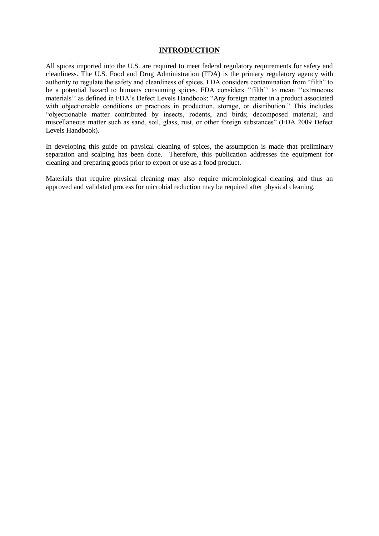#### **INTRODUCTION**

All spices imported into the U.S. are required to meet federal regulatory requirements for safety and cleanliness. The U.S. Food and Drug Administration (FDA) is the primary regulatory agency with authority to regulate the safety and cleanliness of spices. FDA considers contamination from "filth" to be a potential hazard to humans consuming spices. FDA considers ''filth'' to mean ''extraneous materials'' as defined in FDA's Defect Levels Handbook: "Any foreign matter in a product associated with objectionable conditions or practices in production, storage, or distribution." This includes "objectionable matter contributed by insects, rodents, and birds; decomposed material; and miscellaneous matter such as sand, soil, glass, rust, or other foreign substances" (FDA 2009 Defect Levels Handbook).

In developing this guide on physical cleaning of spices, the assumption is made that preliminary separation and scalping has been done. Therefore, this publication addresses the equipment for cleaning and preparing goods prior to export or use as a food product.

Materials that require physical cleaning may also require microbiological cleaning and thus an approved and validated process for microbial reduction may be required after physical cleaning.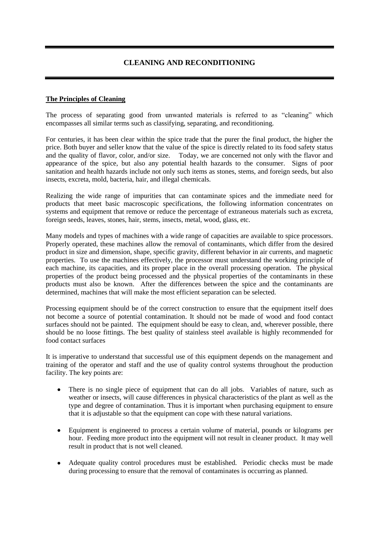## **CLEANING AND RECONDITIONING**

#### **The Principles of Cleaning**

The process of separating good from unwanted materials is referred to as "cleaning" which encompasses all similar terms such as classifying, separating, and reconditioning.

For centuries, it has been clear within the spice trade that the purer the final product, the higher the price. Both buyer and seller know that the value of the spice is directly related to its food safety status and the quality of flavor, color, and/or size. Today, we are concerned not only with the flavor and appearance of the spice, but also any potential health hazards to the consumer. Signs of poor sanitation and health hazards include not only such items as stones, stems, and foreign seeds, but also insects, excreta, mold, bacteria, hair, and illegal chemicals.

Realizing the wide range of impurities that can contaminate spices and the immediate need for products that meet basic macroscopic specifications, the following information concentrates on systems and equipment that remove or reduce the percentage of extraneous materials such as excreta, foreign seeds, leaves, stones, hair, stems, insects, metal, wood, glass, etc.

Many models and types of machines with a wide range of capacities are available to spice processors. Properly operated, these machines allow the removal of contaminants, which differ from the desired product in size and dimension, shape, specific gravity, different behavior in air currents, and magnetic properties. To use the machines effectively, the processor must understand the working principle of each machine, its capacities, and its proper place in the overall processing operation. The physical properties of the product being processed and the physical properties of the contaminants in these products must also be known. After the differences between the spice and the contaminants are determined, machines that will make the most efficient separation can be selected.

Processing equipment should be of the correct construction to ensure that the equipment itself does not become a source of potential contamination. It should not be made of wood and food contact surfaces should not be painted. The equipment should be easy to clean, and, wherever possible, there should be no loose fittings. The best quality of stainless steel available is highly recommended for food contact surfaces

It is imperative to understand that successful use of this equipment depends on the management and training of the operator and staff and the use of quality control systems throughout the production facility. The key points are:

- There is no single piece of equipment that can do all jobs. Variables of nature, such as weather or insects, will cause differences in physical characteristics of the plant as well as the type and degree of contamination. Thus it is important when purchasing equipment to ensure that it is adjustable so that the equipment can cope with these natural variations.
- Equipment is engineered to process a certain volume of material, pounds or kilograms per hour. Feeding more product into the equipment will not result in cleaner product. It may well result in product that is not well cleaned.
- Adequate quality control procedures must be established. Periodic checks must be made during processing to ensure that the removal of contaminates is occurring as planned.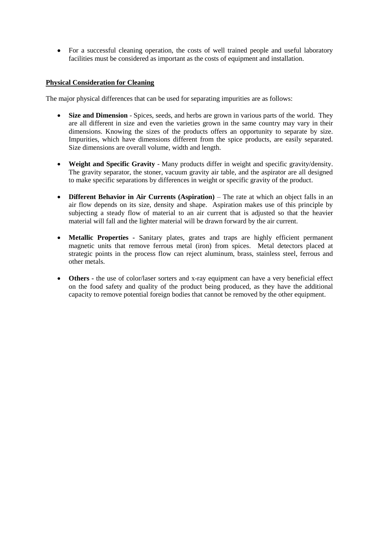For a successful cleaning operation, the costs of well trained people and useful laboratory facilities must be considered as important as the costs of equipment and installation.

#### **Physical Consideration for Cleaning**

The major physical differences that can be used for separating impurities are as follows:

- **Size and Dimension** Spices, seeds, and herbs are grown in various parts of the world. They are all different in size and even the varieties grown in the same country may vary in their dimensions. Knowing the sizes of the products offers an opportunity to separate by size. Impurities, which have dimensions different from the spice products, are easily separated. Size dimensions are overall volume, width and length.
- **Weight and Specific Gravity** Many products differ in weight and specific gravity/density. The gravity separator, the stoner, vacuum gravity air table, and the aspirator are all designed to make specific separations by differences in weight or specific gravity of the product.
- **Different Behavior in Air Currents (Aspiration)** The rate at which an object falls in an air flow depends on its size, density and shape. Aspiration makes use of this principle by subjecting a steady flow of material to an air current that is adjusted so that the heavier material will fall and the lighter material will be drawn forward by the air current.
- **Metallic Properties -** Sanitary plates, grates and traps are highly efficient permanent magnetic units that remove ferrous metal (iron) from spices. Metal detectors placed at strategic points in the process flow can reject aluminum, brass, stainless steel, ferrous and other metals.
- **Others -** the use of color/laser sorters and x-ray equipment can have a very beneficial effect on the food safety and quality of the product being produced, as they have the additional capacity to remove potential foreign bodies that cannot be removed by the other equipment.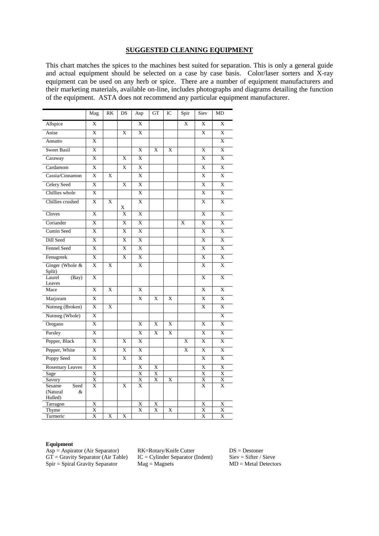#### **SUGGESTED CLEANING EQUIPMENT**

This chart matches the spices to the machines best suited for separation. This is only a general guide and actual equipment should be selected on a case by case basis. Color/laser sorters and X-ray equipment can be used on any herb or spice. There are a number of equipment manufacturers and their marketing materials, available on-line, includes photographs and diagrams detailing the function of the equipment. ASTA does not recommend any particular equipment manufacturer.

|                                 | Mag                     | RK | DS                | Asp                     | <b>GT</b>               | IC | Spir         | Siev                    | MD                      |
|---------------------------------|-------------------------|----|-------------------|-------------------------|-------------------------|----|--------------|-------------------------|-------------------------|
| Allspice                        | X                       |    |                   | X                       |                         |    | X            | X                       | X                       |
| Anise                           | X                       |    | X                 | X                       |                         |    |              | X                       | X                       |
| Annatto                         | X                       |    |                   |                         |                         |    |              |                         | X                       |
| <b>Sweet Basil</b>              | X                       |    |                   | X                       | X                       | X  |              | $\mathbf X$             | X                       |
| Caraway                         | X                       |    | X                 | X                       |                         |    |              | X                       | X                       |
| Cardamom                        | $\overline{X}$          |    | X                 | $\overline{\mathrm{X}}$ |                         |    |              | $\overline{\mathbf{X}}$ | X                       |
| Cassia/Cinnamon                 | $\overline{X}$          | X  |                   | $\overline{\mathrm{X}}$ |                         |    |              | $\overline{X}$          | $\overline{\mathrm{X}}$ |
| <b>Celery Seed</b>              | X                       |    | X                 | X                       |                         |    |              | X                       | X                       |
| Chillies whole                  | X                       |    |                   | X                       |                         |    |              | $\overline{X}$          | X                       |
| Chillies crushed                | X                       | X  |                   | X                       |                         |    |              | X                       | X                       |
| Cloves                          | $\mathbf{x}$            |    | X<br>$\mathbf{x}$ | $\mathbf{x}$            |                         |    |              | $\mathbf{x}$            | $\overline{X}$          |
| Coriander                       | X                       |    | X                 | X                       |                         |    | $\mathbf{x}$ | X                       | X                       |
| Cumin Seed                      | X                       |    | X                 | X                       |                         |    |              | X                       | X                       |
| Dill Seed                       | $\overline{\mathbf{X}}$ |    | X                 | X                       |                         |    |              | X                       | X                       |
| Fennel Seed                     | $\overline{X}$          |    | X                 | X                       |                         |    |              | X                       | X                       |
| Fenugreek                       | $\overline{\mathrm{X}}$ |    | X                 | X                       |                         |    |              | X                       | X                       |
| Ginger (Whole &<br>Split)       | $\mathbf{x}$            | X  |                   | $\bf{X}$                |                         |    |              | $\mathbf{X}$            | $\mathbf{x}$            |
| Laurel<br>(Bay)<br>Leaves       | X                       |    |                   |                         |                         |    |              | X                       | X                       |
| Mace                            | X                       | X  |                   | X                       |                         |    |              | X                       | X                       |
| Marjoram                        | X                       |    |                   | X                       | X                       | X  |              | X                       | X                       |
| Nutmeg (Broken)                 | X                       | X  |                   |                         |                         |    |              | X                       | X                       |
| Nutmeg (Whole)                  | X                       |    |                   |                         |                         |    |              |                         | X                       |
| Oregano                         | X                       |    |                   | X                       | X                       | X  |              | X                       | X                       |
| Parsley                         | X                       |    |                   | X                       | X                       | X  |              | X                       | X                       |
| Pepper, Black                   | $\overline{X}$          |    | X                 | X                       |                         |    | X            | X                       | X                       |
| Pepper, White                   | X                       |    | X                 | X                       |                         |    | X            | X                       | X                       |
| Poppy Seed                      | $\overline{X}$          |    | X                 | X                       |                         |    |              | X                       | X                       |
| <b>Rosemary Leaves</b>          | $\overline{\text{X}}$   |    |                   | X                       | X                       |    |              | X                       | X                       |
| Sage                            | $\overline{X}$          |    |                   | X                       | $\mathbf X$             |    |              | $\overline{X}$          | $\overline{X}$          |
| Savory                          | X<br>$\overline{X}$     |    |                   | $\bf{X}$<br>X           | $\mathbf X$             | X  |              | X<br>$\bar{X}$          | X<br>X                  |
| Sesame<br>Seed<br>(Natural<br>& |                         |    | X                 |                         |                         |    |              |                         |                         |
| Hulled)                         |                         |    |                   |                         |                         |    |              |                         |                         |
| Tarragon                        | X                       |    |                   | $\overline{\text{X}}$   | X                       |    |              | $\overline{\mathrm{X}}$ | $\overline{X}$          |
| Thyme                           | $\overline{X}$          |    |                   | $\overline{\mathrm{X}}$ | $\overline{\mathrm{X}}$ | X  |              | $\overline{\text{X}}$   | $\overline{\text{X}}$   |
| Turmeric                        | $\overline{X}$          | X  | X                 |                         |                         |    |              | X                       | X                       |

#### **Equipment**

Asp = Aspirator (Air Separator) RK=Rotary/Knife Cutter DS = Destoner<br>GT = Gravity Separator (Air Table) IC = Cylinder Separator (Indent) Siev = Sifter / S  $Spir = Spiral$  Gravity Separator Mag = Magnets

 $IC = Cylinder Separator (Indent)$   $Siev = Sifter / Sieve$ <br>Mag = Magnets  $MD = Metal \$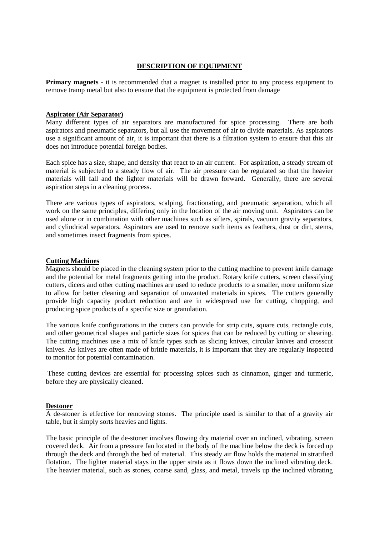#### **DESCRIPTION OF EQUIPMENT**

**Primary magnets** - it is recommended that a magnet is installed prior to any process equipment to remove tramp metal but also to ensure that the equipment is protected from damage

#### **Aspirator (Air Separator)**

Many different types of air separators are manufactured for spice processing. There are both aspirators and pneumatic separators, but all use the movement of air to divide materials. As aspirators use a significant amount of air, it is important that there is a filtration system to ensure that this air does not introduce potential foreign bodies.

Each spice has a size, shape, and density that react to an air current. For aspiration, a steady stream of material is subjected to a steady flow of air. The air pressure can be regulated so that the heavier materials will fall and the lighter materials will be drawn forward. Generally, there are several aspiration steps in a cleaning process.

There are various types of aspirators, scalping, fractionating, and pneumatic separation, which all work on the same principles, differing only in the location of the air moving unit. Aspirators can be used alone or in combination with other machines such as sifters, spirals, vacuum gravity separators, and cylindrical separators. Aspirators are used to remove such items as feathers, dust or dirt, stems, and sometimes insect fragments from spices.

#### **Cutting Machines**

Magnets should be placed in the cleaning system prior to the cutting machine to prevent knife damage and the potential for metal fragments getting into the product. Rotary knife cutters, screen classifying cutters, dicers and other cutting machines are used to reduce products to a smaller, more uniform size to allow for better cleaning and separation of unwanted materials in spices. The cutters generally provide high capacity product reduction and are in widespread use for cutting, chopping, and producing spice products of a specific size or granulation.

The various knife configurations in the cutters can provide for strip cuts, square cuts, rectangle cuts, and other geometrical shapes and particle sizes for spices that can be reduced by cutting or shearing. The cutting machines use a mix of knife types such as slicing knives, circular knives and crosscut knives. As knives are often made of brittle materials, it is important that they are regularly inspected to monitor for potential contamination.

These cutting devices are essential for processing spices such as cinnamon, ginger and turmeric, before they are physically cleaned.

#### **Destoner**

A de-stoner is effective for removing stones. The principle used is similar to that of a gravity air table, but it simply sorts heavies and lights.

The basic principle of the de-stoner involves flowing dry material over an inclined, vibrating, screen covered deck. Air from a pressure fan located in the body of the machine below the deck is forced up through the deck and through the bed of material. This steady air flow holds the material in stratified flotation. The lighter material stays in the upper strata as it flows down the inclined vibrating deck. The heavier material, such as stones, coarse sand, glass, and metal, travels up the inclined vibrating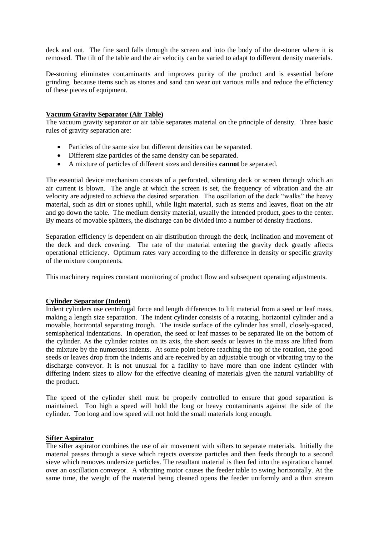deck and out. The fine sand falls through the screen and into the body of the de-stoner where it is removed. The tilt of the table and the air velocity can be varied to adapt to different density materials.

De-stoning eliminates contaminants and improves purity of the product and is essential before grinding because items such as stones and sand can wear out various mills and reduce the efficiency of these pieces of equipment.

#### **Vacuum Gravity Separator (Air Table)**

The vacuum gravity separator or air table separates material on the principle of density. Three basic rules of gravity separation are:

- Particles of the same size but different densities can be separated.
- Different size particles of the same density can be separated.
- A mixture of particles of different sizes and densities **cannot** be separated.

The essential device mechanism consists of a perforated, vibrating deck or screen through which an air current is blown. The angle at which the screen is set, the frequency of vibration and the air velocity are adjusted to achieve the desired separation. The oscillation of the deck "walks" the heavy material, such as dirt or stones uphill, while light material, such as stems and leaves, float on the air and go down the table. The medium density material, usually the intended product, goes to the center. By means of movable splitters, the discharge can be divided into a number of density fractions.

Separation efficiency is dependent on air distribution through the deck, inclination and movement of the deck and deck covering. The rate of the material entering the gravity deck greatly affects operational efficiency. Optimum rates vary according to the difference in density or specific gravity of the mixture components.

This machinery requires constant monitoring of product flow and subsequent operating adjustments.

#### **Cylinder Separator (Indent)**

Indent cylinders use centrifugal force and length differences to lift material from a seed or leaf mass, making a length size separation. The indent cylinder consists of a rotating, horizontal cylinder and a movable, horizontal separating trough. The inside surface of the cylinder has small, closely-spaced, semispherical indentations. In operation, the seed or leaf masses to be separated lie on the bottom of the cylinder. As the cylinder rotates on its axis, the short seeds or leaves in the mass are lifted from the mixture by the numerous indents. At some point before reaching the top of the rotation, the good seeds or leaves drop from the indents and are received by an adjustable trough or vibrating tray to the discharge conveyor. It is not unusual for a facility to have more than one indent cylinder with differing indent sizes to allow for the effective cleaning of materials given the natural variability of the product.

The speed of the cylinder shell must be properly controlled to ensure that good separation is maintained. Too high a speed will hold the long or heavy contaminants against the side of the cylinder. Too long and low speed will not hold the small materials long enough.

#### **Sifter Aspirator**

The sifter aspirator combines the use of air movement with sifters to separate materials. Initially the material passes through a sieve which rejects oversize particles and then feeds through to a second sieve which removes undersize particles. The resultant material is then fed into the aspiration channel over an oscillation conveyor. A vibrating motor causes the feeder table to swing horizontally. At the same time, the weight of the material being cleaned opens the feeder uniformly and a thin stream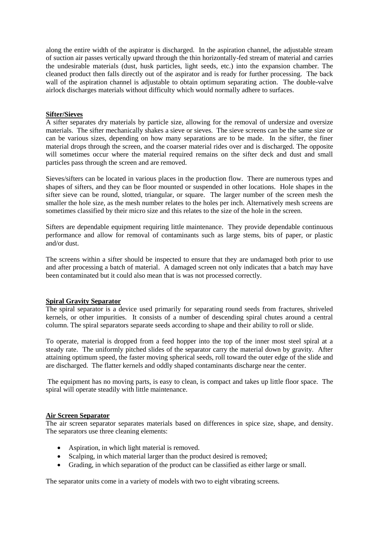along the entire width of the aspirator is discharged. In the aspiration channel, the adjustable stream of suction air passes vertically upward through the thin horizontally-fed stream of material and carries the undesirable materials (dust, husk particles, light seeds, etc.) into the expansion chamber. The cleaned product then falls directly out of the aspirator and is ready for further processing. The back wall of the aspiration channel is adjustable to obtain optimum separating action. The double-valve airlock discharges materials without difficulty which would normally adhere to surfaces.

#### **Sifter/Sieves**

A sifter separates dry materials by particle size, allowing for the removal of undersize and oversize materials. The sifter mechanically shakes a sieve or sieves. The sieve screens can be the same size or can be various sizes, depending on how many separations are to be made. In the sifter, the finer material drops through the screen, and the coarser material rides over and is discharged. The opposite will sometimes occur where the material required remains on the sifter deck and dust and small particles pass through the screen and are removed.

Sieves/sifters can be located in various places in the production flow. There are numerous types and shapes of sifters, and they can be floor mounted or suspended in other locations. Hole shapes in the sifter sieve can be round, slotted, triangular, or square. The larger number of the screen mesh the smaller the hole size, as the mesh number relates to the holes per inch. Alternatively mesh screens are sometimes classified by their micro size and this relates to the size of the hole in the screen.

Sifters are dependable equipment requiring little maintenance. They provide dependable continuous performance and allow for removal of contaminants such as large stems, bits of paper, or plastic and/or dust.

The screens within a sifter should be inspected to ensure that they are undamaged both prior to use and after processing a batch of material. A damaged screen not only indicates that a batch may have been contaminated but it could also mean that is was not processed correctly.

#### **Spiral Gravity Separator**

The spiral separator is a device used primarily for separating round seeds from fractures, shriveled kernels, or other impurities. It consists of a number of descending spiral chutes around a central column. The spiral separators separate seeds according to shape and their ability to roll or slide.

To operate, material is dropped from a feed hopper into the top of the inner most steel spiral at a steady rate. The uniformly pitched slides of the separator carry the material down by gravity. After attaining optimum speed, the faster moving spherical seeds, roll toward the outer edge of the slide and are discharged. The flatter kernels and oddly shaped contaminants discharge near the center.

The equipment has no moving parts, is easy to clean, is compact and takes up little floor space. The spiral will operate steadily with little maintenance.

#### **Air Screen Separator**

The air screen separator separates materials based on differences in spice size, shape, and density. The separators use three cleaning elements:

- Aspiration, in which light material is removed.
- Scalping, in which material larger than the product desired is removed;
- Grading, in which separation of the product can be classified as either large or small.

The separator units come in a variety of models with two to eight vibrating screens.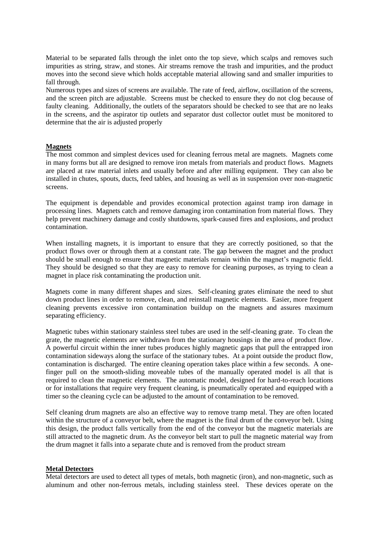Material to be separated falls through the inlet onto the top sieve, which scalps and removes such impurities as string, straw, and stones. Air streams remove the trash and impurities, and the product moves into the second sieve which holds acceptable material allowing sand and smaller impurities to fall through.

Numerous types and sizes of screens are available. The rate of feed, airflow, oscillation of the screens, and the screen pitch are adjustable. Screens must be checked to ensure they do not clog because of faulty cleaning. Additionally, the outlets of the separators should be checked to see that are no leaks in the screens, and the aspirator tip outlets and separator dust collector outlet must be monitored to determine that the air is adjusted properly

#### **Magnets**

The most common and simplest devices used for cleaning ferrous metal are magnets. Magnets come in many forms but all are designed to remove iron metals from materials and product flows. Magnets are placed at raw material inlets and usually before and after milling equipment. They can also be installed in chutes, spouts, ducts, feed tables, and housing as well as in suspension over non-magnetic screens.

The equipment is dependable and provides economical protection against tramp iron damage in processing lines. Magnets catch and remove damaging iron contamination from material flows. They help prevent machinery damage and costly shutdowns, spark-caused fires and explosions, and product contamination.

When installing magnets, it is important to ensure that they are correctly positioned, so that the product flows over or through them at a constant rate. The gap between the magnet and the product should be small enough to ensure that magnetic materials remain within the magnet's magnetic field. They should be designed so that they are easy to remove for cleaning purposes, as trying to clean a magnet in place risk contaminating the production unit.

Magnets come in many different shapes and sizes. Self-cleaning grates eliminate the need to shut down product lines in order to remove, clean, and reinstall magnetic elements. Easier, more frequent cleaning prevents excessive iron contamination buildup on the magnets and assures maximum separating efficiency.

Magnetic tubes within stationary stainless steel tubes are used in the self-cleaning grate. To clean the grate, the magnetic elements are withdrawn from the stationary housings in the area of product flow. A powerful circuit within the inner tubes produces highly magnetic gaps that pull the entrapped iron contamination sideways along the surface of the stationary tubes. At a point outside the product flow, contamination is discharged. The entire cleaning operation takes place within a few seconds. A onefinger pull on the smooth-sliding moveable tubes of the manually operated model is all that is required to clean the magnetic elements. The automatic model, designed for hard-to-reach locations or for installations that require very frequent cleaning, is pneumatically operated and equipped with a timer so the cleaning cycle can be adjusted to the amount of contamination to be removed.

Self cleaning drum magnets are also an effective way to remove tramp metal. They are often located within the structure of a conveyor belt, where the magnet is the final drum of the conveyor belt. Using this design, the product falls vertically from the end of the conveyor but the magnetic materials are still attracted to the magnetic drum. As the conveyor belt start to pull the magnetic material way from the drum magnet it falls into a separate chute and is removed from the product stream

#### **Metal Detectors**

Metal detectors are used to detect all types of metals, both magnetic (iron), and non-magnetic, such as aluminum and other non-ferrous metals, including stainless steel. These devices operate on the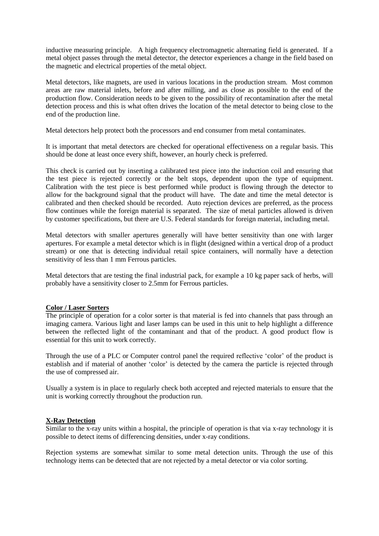inductive measuring principle. A high frequency electromagnetic alternating field is generated. If a metal object passes through the metal detector, the detector experiences a change in the field based on the magnetic and electrical properties of the metal object.

Metal detectors, like magnets, are used in various locations in the production stream. Most common areas are raw material inlets, before and after milling, and as close as possible to the end of the production flow. Consideration needs to be given to the possibility of recontamination after the metal detection process and this is what often drives the location of the metal detector to being close to the end of the production line.

Metal detectors help protect both the processors and end consumer from metal contaminates.

It is important that metal detectors are checked for operational effectiveness on a regular basis. This should be done at least once every shift, however, an hourly check is preferred.

This check is carried out by inserting a calibrated test piece into the induction coil and ensuring that the test piece is rejected correctly or the belt stops, dependent upon the type of equipment. Calibration with the test piece is best performed while product is flowing through the detector to allow for the background signal that the product will have. The date and time the metal detector is calibrated and then checked should be recorded. Auto rejection devices are preferred, as the process flow continues while the foreign material is separated. The size of metal particles allowed is driven by customer specifications, but there are U.S. Federal standards for foreign material, including metal.

Metal detectors with smaller apertures generally will have better sensitivity than one with larger apertures. For example a metal detector which is in flight (designed within a vertical drop of a product stream) or one that is detecting individual retail spice containers, will normally have a detection sensitivity of less than 1 mm Ferrous particles.

Metal detectors that are testing the final industrial pack, for example a 10 kg paper sack of herbs, will probably have a sensitivity closer to 2.5mm for Ferrous particles.

#### **Color / Laser Sorters**

The principle of operation for a color sorter is that material is fed into channels that pass through an imaging camera. Various light and laser lamps can be used in this unit to help highlight a difference between the reflected light of the contaminant and that of the product. A good product flow is essential for this unit to work correctly.

Through the use of a PLC or Computer control panel the required reflective 'color' of the product is establish and if material of another 'color' is detected by the camera the particle is rejected through the use of compressed air.

Usually a system is in place to regularly check both accepted and rejected materials to ensure that the unit is working correctly throughout the production run.

#### **X-Ray Detection**

Similar to the x-ray units within a hospital, the principle of operation is that via x-ray technology it is possible to detect items of differencing densities, under x-ray conditions.

Rejection systems are somewhat similar to some metal detection units. Through the use of this technology items can be detected that are not rejected by a metal detector or via color sorting.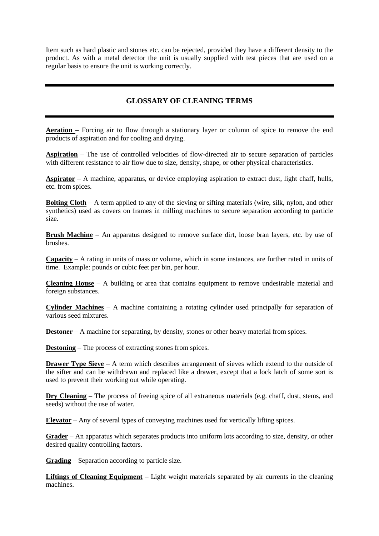Item such as hard plastic and stones etc. can be rejected, provided they have a different density to the product. As with a metal detector the unit is usually supplied with test pieces that are used on a regular basis to ensure the unit is working correctly.

## **GLOSSARY OF CLEANING TERMS**

**Aeration –** Forcing air to flow through a stationary layer or column of spice to remove the end products of aspiration and for cooling and drying.

**Aspiration** – The use of controlled velocities of flow-directed air to secure separation of particles with different resistance to air flow due to size, density, shape, or other physical characteristics.

**Aspirator** – A machine, apparatus, or device employing aspiration to extract dust, light chaff, hulls, etc. from spices.

**Bolting Cloth** – A term applied to any of the sieving or sifting materials (wire, silk, nylon, and other synthetics) used as covers on frames in milling machines to secure separation according to particle size.

**Brush Machine** – An apparatus designed to remove surface dirt, loose bran layers, etc. by use of brushes.

**Capacity** – A rating in units of mass or volume, which in some instances, are further rated in units of time. Example: pounds or cubic feet per bin, per hour.

**Cleaning House** – A building or area that contains equipment to remove undesirable material and foreign substances.

**Cylinder Machines** – A machine containing a rotating cylinder used principally for separation of various seed mixtures.

**Destoner** – A machine for separating, by density, stones or other heavy material from spices.

**Destoning** – The process of extracting stones from spices.

**Drawer Type Sieve** – A term which describes arrangement of sieves which extend to the outside of the sifter and can be withdrawn and replaced like a drawer, except that a lock latch of some sort is used to prevent their working out while operating.

**Dry Cleaning** – The process of freeing spice of all extraneous materials (e.g. chaff, dust, stems, and seeds) without the use of water.

**Elevator** – Any of several types of conveying machines used for vertically lifting spices.

**Grader** – An apparatus which separates products into uniform lots according to size, density, or other desired quality controlling factors.

**Grading** – Separation according to particle size.

**Liftings of Cleaning Equipment** – Light weight materials separated by air currents in the cleaning machines.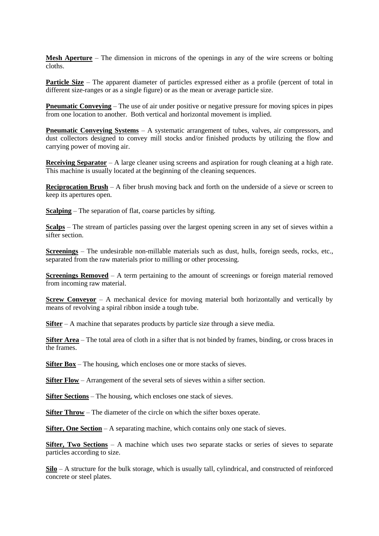**Mesh Aperture** – The dimension in microns of the openings in any of the wire screens or bolting cloths.

**Particle Size** – The apparent diameter of particles expressed either as a profile (percent of total in different size-ranges or as a single figure) or as the mean or average particle size.

**Pneumatic Conveying** – The use of air under positive or negative pressure for moving spices in pipes from one location to another. Both vertical and horizontal movement is implied.

**Pneumatic Conveving Systems** – A systematic arrangement of tubes, valves, air compressors, and dust collectors designed to convey mill stocks and/or finished products by utilizing the flow and carrying power of moving air.

**Receiving Separator** – A large cleaner using screens and aspiration for rough cleaning at a high rate. This machine is usually located at the beginning of the cleaning sequences.

**Reciprocation Brush** – A fiber brush moving back and forth on the underside of a sieve or screen to keep its apertures open.

**Scalping** – The separation of flat, coarse particles by sifting.

**Scalps** – The stream of particles passing over the largest opening screen in any set of sieves within a sifter section.

**Screenings** – The undesirable non-millable materials such as dust, hulls, foreign seeds, rocks, etc., separated from the raw materials prior to milling or other processing.

**Screenings Removed** – A term pertaining to the amount of screenings or foreign material removed from incoming raw material.

**Screw Conveyor** – A mechanical device for moving material both horizontally and vertically by means of revolving a spiral ribbon inside a tough tube.

**Sifter** – A machine that separates products by particle size through a sieve media.

**Sifter Area** – The total area of cloth in a sifter that is not binded by frames, binding, or cross braces in the frames.

**Sifter Box** – The housing, which encloses one or more stacks of sieves.

**Sifter Flow** – Arrangement of the several sets of sieves within a sifter section.

**Sifter Sections** – The housing, which encloses one stack of sieves.

**Sifter Throw** – The diameter of the circle on which the sifter boxes operate.

**Sifter, One Section** – A separating machine, which contains only one stack of sieves.

**Sifter, Two Sections** – A machine which uses two separate stacks or series of sieves to separate particles according to size.

**Silo** – A structure for the bulk storage, which is usually tall, cylindrical, and constructed of reinforced concrete or steel plates.